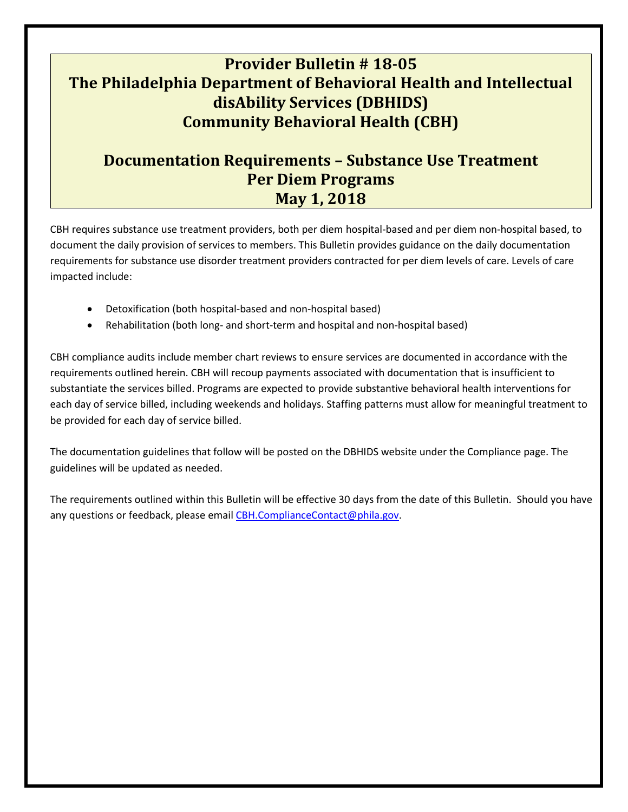# **Provider Bulletin # 18-05 The Philadelphia Department of Behavioral Health and Intellectual disAbility Services (DBHIDS) Community Behavioral Health (CBH)**

# **Documentation Requirements – Substance Use Treatment Per Diem Programs May 1, 2018**

CBH requires substance use treatment providers, both per diem hospital-based and per diem non-hospital based, to document the daily provision of services to members. This Bulletin provides guidance on the daily documentation requirements for substance use disorder treatment providers contracted for per diem levels of care. Levels of care impacted include:

- Detoxification (both hospital-based and non-hospital based)
- Rehabilitation (both long- and short-term and hospital and non-hospital based)

CBH compliance audits include member chart reviews to ensure services are documented in accordance with the requirements outlined herein. CBH will recoup payments associated with documentation that is insufficient to substantiate the services billed. Programs are expected to provide substantive behavioral health interventions for each day of service billed, including weekends and holidays. Staffing patterns must allow for meaningful treatment to be provided for each day of service billed.

The documentation guidelines that follow will be posted on the DBHIDS website under the Compliance page. The guidelines will be updated as needed.

The requirements outlined within this Bulletin will be effective 30 days from the date of this Bulletin. Should you have any questions or feedback, please email [CBH.ComplianceContact@phila.gov.](mailto:CBH.ComplianceContact@phila.gov)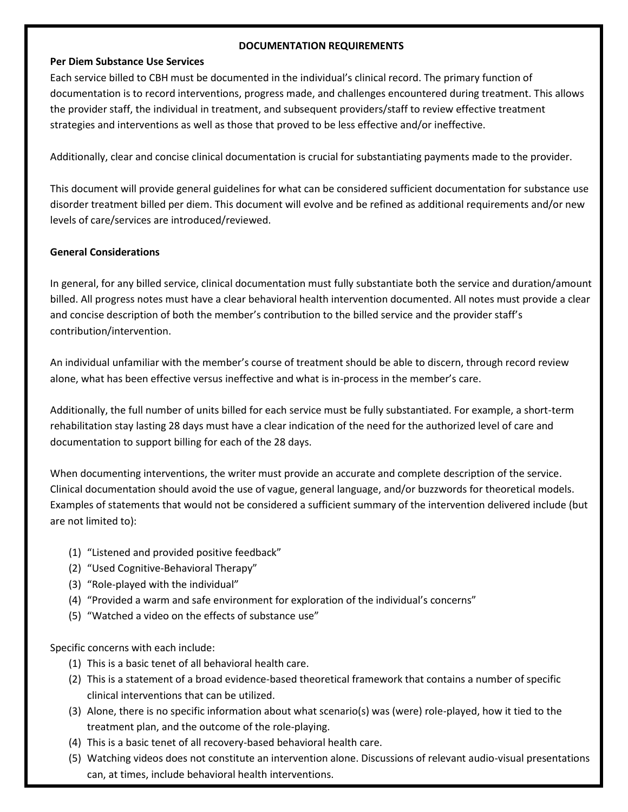# **DOCUMENTATION REQUIREMENTS**

#### **Per Diem Substance Use Services**

Each service billed to CBH must be documented in the individual's clinical record. The primary function of documentation is to record interventions, progress made, and challenges encountered during treatment. This allows the provider staff, the individual in treatment, and subsequent providers/staff to review effective treatment strategies and interventions as well as those that proved to be less effective and/or ineffective.

Additionally, clear and concise clinical documentation is crucial for substantiating payments made to the provider.

This document will provide general guidelines for what can be considered sufficient documentation for substance use disorder treatment billed per diem. This document will evolve and be refined as additional requirements and/or new levels of care/services are introduced/reviewed.

# **General Considerations**

In general, for any billed service, clinical documentation must fully substantiate both the service and duration/amount billed. All progress notes must have a clear behavioral health intervention documented. All notes must provide a clear and concise description of both the member's contribution to the billed service and the provider staff's contribution/intervention.

An individual unfamiliar with the member's course of treatment should be able to discern, through record review alone, what has been effective versus ineffective and what is in-process in the member's care.

Additionally, the full number of units billed for each service must be fully substantiated. For example, a short-term rehabilitation stay lasting 28 days must have a clear indication of the need for the authorized level of care and documentation to support billing for each of the 28 days.

When documenting interventions, the writer must provide an accurate and complete description of the service. Clinical documentation should avoid the use of vague, general language, and/or buzzwords for theoretical models. Examples of statements that would not be considered a sufficient summary of the intervention delivered include (but are not limited to):

- (1) "Listened and provided positive feedback"
- (2) "Used Cognitive-Behavioral Therapy"
- (3) "Role-played with the individual"
- (4) "Provided a warm and safe environment for exploration of the individual's concerns"
- (5) "Watched a video on the effects of substance use"

Specific concerns with each include:

- (1) This is a basic tenet of all behavioral health care.
- (2) This is a statement of a broad evidence-based theoretical framework that contains a number of specific clinical interventions that can be utilized.
- (3) Alone, there is no specific information about what scenario(s) was (were) role-played, how it tied to the treatment plan, and the outcome of the role-playing.
- (4) This is a basic tenet of all recovery-based behavioral health care.
- (5) Watching videos does not constitute an intervention alone. Discussions of relevant audio-visual presentations can, at times, include behavioral health interventions.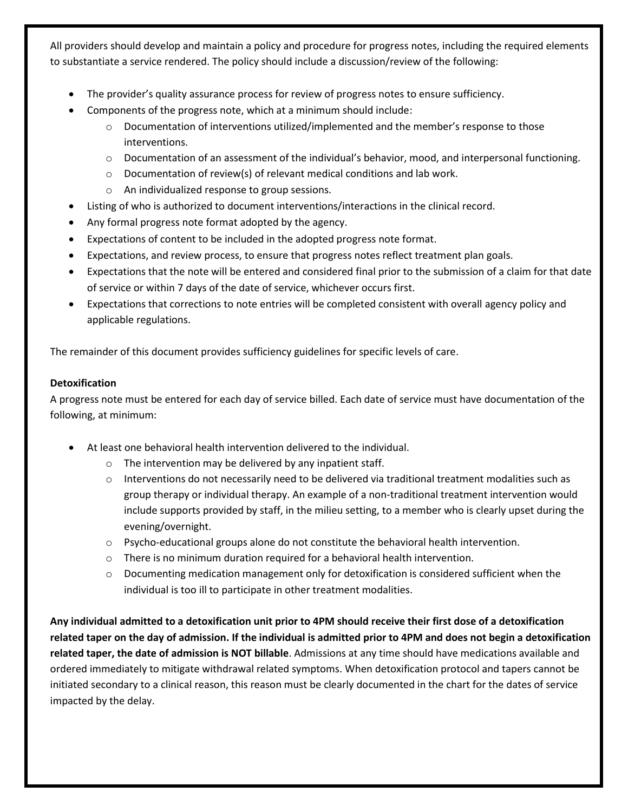All providers should develop and maintain a policy and procedure for progress notes, including the required elements to substantiate a service rendered. The policy should include a discussion/review of the following:

- The provider's quality assurance process for review of progress notes to ensure sufficiency.
- Components of the progress note, which at a minimum should include:
	- $\circ$  Documentation of interventions utilized/implemented and the member's response to those interventions.
	- o Documentation of an assessment of the individual's behavior, mood, and interpersonal functioning.
	- o Documentation of review(s) of relevant medical conditions and lab work.
	- o An individualized response to group sessions.
- Listing of who is authorized to document interventions/interactions in the clinical record.
- Any formal progress note format adopted by the agency.
- Expectations of content to be included in the adopted progress note format.
- Expectations, and review process, to ensure that progress notes reflect treatment plan goals.
- Expectations that the note will be entered and considered final prior to the submission of a claim for that date of service or within 7 days of the date of service, whichever occurs first.
- Expectations that corrections to note entries will be completed consistent with overall agency policy and applicable regulations.

The remainder of this document provides sufficiency guidelines for specific levels of care.

# **Detoxification**

A progress note must be entered for each day of service billed. Each date of service must have documentation of the following, at minimum:

- At least one behavioral health intervention delivered to the individual.
	- o The intervention may be delivered by any inpatient staff.
	- $\circ$  Interventions do not necessarily need to be delivered via traditional treatment modalities such as group therapy or individual therapy. An example of a non-traditional treatment intervention would include supports provided by staff, in the milieu setting, to a member who is clearly upset during the evening/overnight.
	- $\circ$  Psycho-educational groups alone do not constitute the behavioral health intervention.
	- o There is no minimum duration required for a behavioral health intervention.
	- $\circ$  Documenting medication management only for detoxification is considered sufficient when the individual is too ill to participate in other treatment modalities.

**Any individual admitted to a detoxification unit prior to 4PM should receive their first dose of a detoxification related taper on the day of admission. If the individual is admitted prior to 4PM and does not begin a detoxification related taper, the date of admission is NOT billable**. Admissions at any time should have medications available and ordered immediately to mitigate withdrawal related symptoms. When detoxification protocol and tapers cannot be initiated secondary to a clinical reason, this reason must be clearly documented in the chart for the dates of service impacted by the delay.